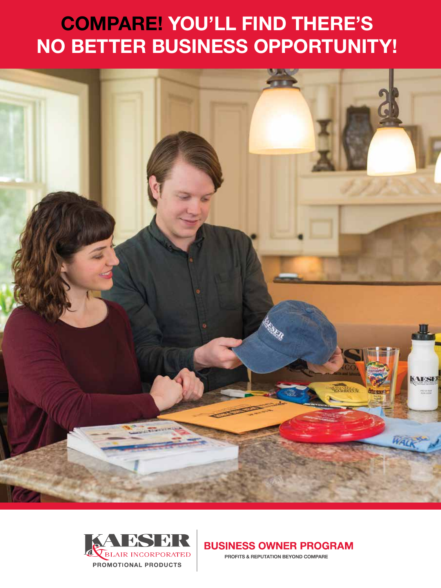# **COMPARE! YOU'LL FIND THERE'S NO BETTER BUSINESS OPPORTUNITY!**





**BUSINESS OWNER PROGRAM** 

**PROFITS & REPUTATION BEYOND COMPARE**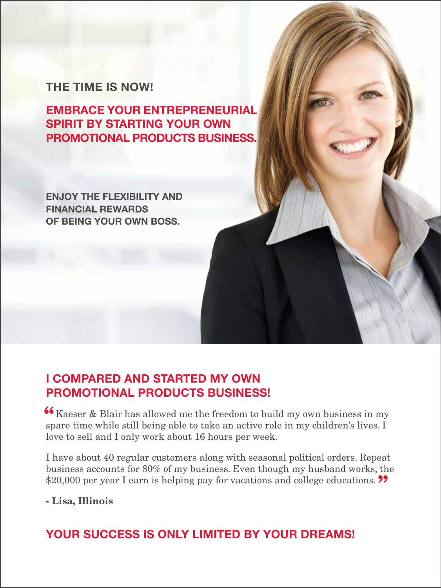### **THE TIME IS NOW!**

**EMBRACE YOUR ENTREPRENEURIAL SPIRIT BY STARTING YOUR OWN PROMOTIONAL PRODUCTS BUSINESS.**

**ENJOY THE FLEXIBILITY AND FINANCIAL REWARDS OF BEING YOUR OWN BOSS.**

### **I COMPARED AND STARTED MY OWN PROMOTIONAL PRODUCTS BUSINESS!**

 $\mathcal{L}_{\text{Kaeser}}$  & Blair has allowed me the freedom to build my own business in my spare time while still being able to take an active rele in my children's lives I spare time while still being able to take an active role in my children's lives. I love to sell and I only work about 16 hours per week.

I have about 40 regular customers along with seasonal political orders. Repeat business accounts for 80% of my business. Even though my husband works, the \$20,000 per year I earn is helping pay for vacations and college educations. <sup>99</sup>

### - Lisa, Illinois

### **YOUR SUCCESS IS ONLY LIMITED BY YOUR DREAMS!**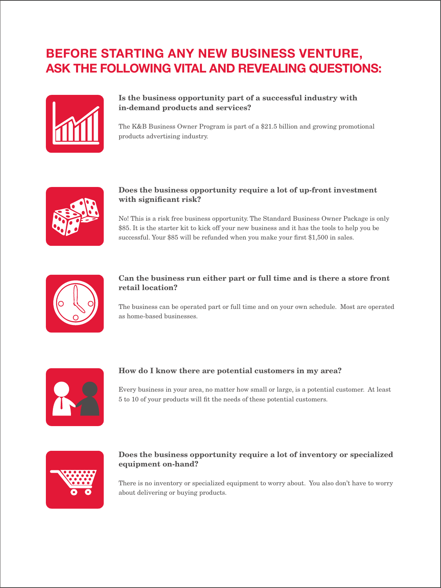### **BEFORE STARTING ANY NEW BUSINESS VENTURE, ASK THE FOLLOWING VITAL AND REVEALING QUESTIONS:**



#### Is the business opportunity part of a successful industry with in-demand products and services?

The K&B Business Owner Program is part of a \$21.5 billion and growing promotional products advertising industry.



#### Does the business opportunity require a lot of up-front investment with significant risk?

No! This is a risk free business opportunity. The Standard Business Owner Package is only \$85. It is the starter kit to kick off your new business and it has the tools to help you be successful. Your \$85 will be refunded when you make your first \$1,500 in sales.



#### Can the business run either part or full time and is there a store front retail location?

The business can be operated part or full time and on your own schedule. Most are operated as home-based businesses.



#### How do I know there are potential customers in my area?

Every business in your area, no matter how small or large, is a potential customer. At least 5 to 10 of your products will fit the needs of these potential customers.



#### Does the business opportunity require a lot of inventory or specialized equipment on-hand?

There is no inventory or specialized equipment to worry about. You also don't have to worry about delivering or buying products.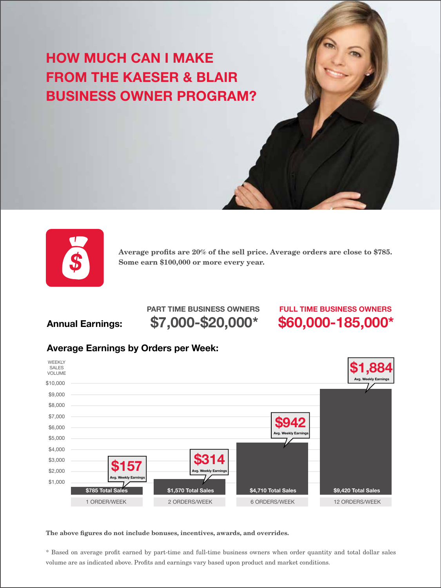## **HOW MUCH CAN I MAKE FROM THE KAESER & BLAIR BUSINESS OWNER PROGRAM?**



Average profits are 20% of the sell price. Average orders are close to \$785. Some earn \$100,000 or more every year.

### **Annual Earnings:**

### **\$7,000-\$20,000\* \$60,000-185,000\* PART TIME BUSINESS OWNERS FULL TIME BUSINESS OWNERS**

### **Average Earnings by Orders per Week:**



The above figures do not include bonuses, incentives, awards, and overrides.

\* Based on average profit earned by part-time and full-time business owners when order quantity and total dollar sales volume are as indicated above. Profits and earnings vary based upon product and market conditions.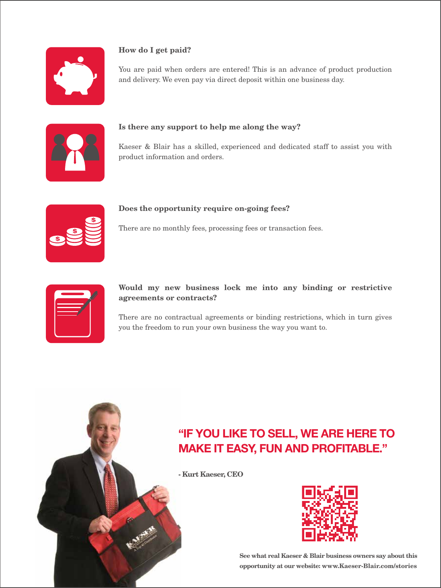

#### How do I get paid?

You are paid when orders are entered! This is an advance of product production and delivery. We even pay via direct deposit within one business day.



#### Is there any support to help me along the way?

Kaeser & Blair has a skilled, experienced and dedicated staff to assist you with product information and orders.



#### Does the opportunity require on-going fees?

There are no monthly fees, processing fees or transaction fees.

|  |  | Î |
|--|--|---|
|  |  |   |
|  |  |   |
|  |  |   |
|  |  |   |
|  |  |   |
|  |  |   |

#### Would my new business lock me into any binding or restrictive agreements or contracts?

There are no contractual agreements or binding restrictions, which in turn gives you the freedom to run your own business the way you want to.

### **"IF YOU LIKE TO SELL, WE ARE HERE TO MAKE IT EASY, FUN AND PROFITABLE."**

- Kurt Kaeser, CEO



See what real Kaeser & Blair business owners say about this opportunity at our website: www.Kaeser-Blair.com/stories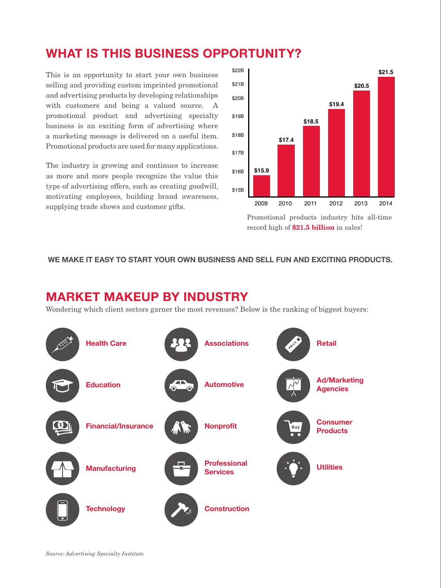### **WHAT IS THIS BUSINESS OPPORTUNITY?**

This is an opportunity to start your own business selling and providing custom imprinted promotional and advertising products by developing relationships with customers and being a valued source. A promotional product and advertising specialty business is an exciting form of advertising where a marketing message is delivered on a useful item. Promotional products are used for many applications.

The industry is growing and continues to increase as more and more people recognize the value this type of advertising offers, such as creating goodwill, motivating employees, building brand awareness, supplying trade shows and customer gifts. 2009 2010 2011 2012 2013 2014



Promotional products industry hits all-time record high of  $$21.5$  billion in sales!

#### **WE MAKE IT EASY TO START YOUR OWN BUSINESS AND SELL FUN AND EXCITING PRODUCTS.**

### **MARKET MAKEUP BY INDUSTRY**

Wondering which client sectors garner the most revenues? Below is the ranking of biggest buyers:



*Source: Advertising Specialty Institute*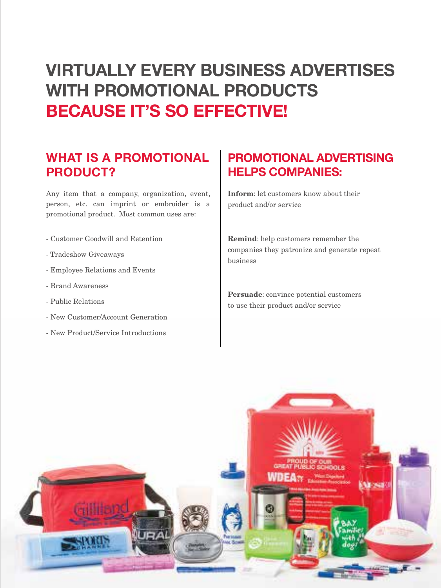## **VIRTUALLY EVERY BUSINESS ADVERTISES WITH PROMOTIONAL PRODUCTS BECAUSE IT'S SO EFFECTIVE!**

### **WHAT IS A PROMOTIONAL PRODUCT?**

Any item that a company, organization, event, person, etc. can imprint or embroider is a promotional product. Most common uses are:

- Customer Goodwill and Retention
- Tradeshow Giveaways
- Employee Relations and Events
- Brand Awareness
- Public Relations
- New Customer/Account Generation
- New Product/Service Introductions

### **PROMOTIONAL ADVERTISING HELPS COMPANIES:**

Inform: let customers know about their product and/or service

Remind: help customers remember the companies they patronize and generate repeat business

Persuade: convince potential customers to use their product and/or service

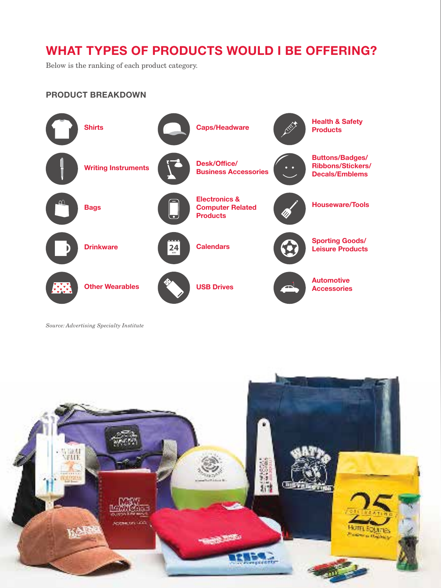### **WHAT TYPES OF PRODUCTS WOULD I BE OFFERING?**

Below is the ranking of each product category.

#### **PRODUCT BREAKDOWN**



*Source: Advertising Specialty Institute*

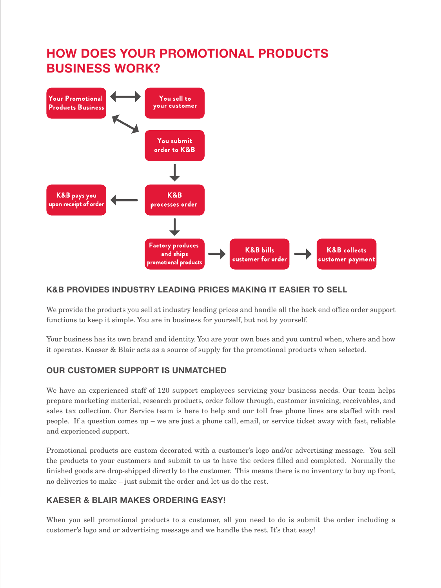### **HOW DOES YOUR PROMOTIONAL PRODUCTS BUSINESS WORK?**



#### **K&B PROVIDES INDUSTRY LEADING PRICES MAKING IT EASIER TO SELL**

We provide the products you sell at industry leading prices and handle all the back end office order support functions to keep it simple. You are in business for yourself, but not by yourself.

Your business has its own brand and identity. You are your own boss and you control when, where and how it operates. Kaeser & Blair acts as a source of supply for the promotional products when selected.

#### **OUR CUSTOMER SUPPORT IS UNMATCHED**

We have an experienced staff of 120 support employees servicing your business needs. Our team helps prepare marketing material, research products, order follow through, customer invoicing, receivables, and sales tax collection. Our Service team is here to help and our toll free phone lines are staffed with real people. If a question comes up – we are just a phone call, email, or service ticket away with fast, reliable and experienced support.

Promotional products are custom decorated with a customer's logo and/or advertising message. You sell the products to your customers and submit to us to have the orders filled and completed. Normally the finished goods are drop-shipped directly to the customer. This means there is no inventory to buy up front, no deliveries to make – just submit the order and let us do the rest.

#### **KAESER & BLAIR MAKES ORDERING EASY!**

When you sell promotional products to a customer, all you need to do is submit the order including a customer's logo and or advertising message and we handle the rest. It's that easy!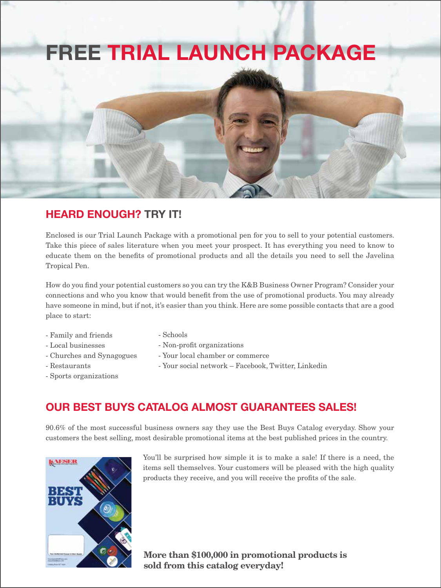# **FREE TRIAL LAUNCH PACKAGE**



Enclosed is our Trial Launch Package with a promotional pen for you to sell to your potential customers. Take this piece of sales literature when you meet your prospect. It has everything you need to know to educate them on the benefits of promotional products and all the details you need to sell the Javelina Tropical Pen.

How do you find your potential customers so you can try the K&B Business Owner Program? Consider your connections and who you know that would benefit from the use of promotional products. You may already have someone in mind, but if not, it's easier than you think. Here are some possible contacts that are a good place to start:

- Family and friends
- Local businesses
- Churches and Synagogues
- Restaurants
- Sports organizations
- Schools
- Non-profit organizations
- Your local chamber or commerce
- Your social network Facebook, Twitter, Linkedin
- 

### **OUR BEST BUYS CATALOG ALMOST GUARANTEES SALES!**

90.6% of the most successful business owners say they use the Best Buys Catalog everyday. Show your customers the best selling, most desirable promotional items at the best published prices in the country.



You'll be surprised how simple it is to make a sale! If there is a need, the items sell themselves. Your customers will be pleased with the high quality products they receive, and you will receive the profits of the sale.

More than \$100,000 in promotional products is sold from this catalog everyday!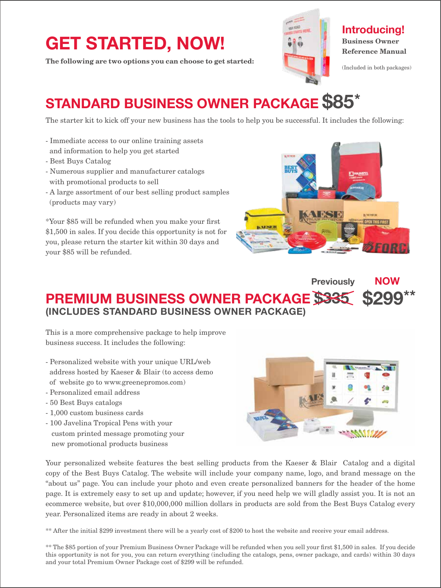# **GET STARTED, NOW!**

The following are two options you can choose to get started:



### **Introducing!** Business Owner Reference Manual

(Included in both packages)

## **STANDARD BUSINESS OWNER PACKAGE \$85\***

The starter kit to kick off your new business has the tools to help you be successful. It includes the following:

- Immediate access to our online training assets and information to help you get started
- Best Buys Catalog
- Numerous supplier and manufacturer catalogs with promotional products to sell
- A large assortment of our best selling product samples (products may vary)

\*Your \$85 will be refunded when you make your first \$1,500 in sales. If you decide this opportunity is not for you, please return the starter kit within 30 days and your \$85 will be refunded.



#### **PREMIUM BUSINESS OWNER PACKAGE \$335 (INCLUDES STANDARD BUSINESS OWNER PACKAGE) \$299\*\* Previously NOW**

This is a more comprehensive package to help improve business success. It includes the following:

- Personalized website with your unique URL/web address hosted by Kaeser & Blair (to access demo of website go to www.greenepromos.com)
- Personalized email address
- 50 Best Buys catalogs
- 1,000 custom business cards
- 100 Javelina Tropical Pens with your custom printed message promoting your new promotional products business



Your personalized website features the best selling products from the Kaeser & Blair Catalog and a digital copy of the Best Buys Catalog. The website will include your company name, logo, and brand message on the "about us" page. You can include your photo and even create personalized banners for the header of the home page. It is extremely easy to set up and update; however, if you need help we will gladly assist you. It is not an ecommerce website, but over \$10,000,000 million dollars in products are sold from the Best Buys Catalog every year. Personalized items are ready in about 2 weeks.

\*\* After the initial \$299 investment there will be a yearly cost of \$200 to host the website and receive your email address.

\*\* The \$85 portion of your Premium Business Owner Package will be refunded when you sell your first \$1,500 in sales. If you decide this opportunity is not for you, you can return everything (including the catalogs, pens, owner package, and cards) within 30 days and your total Premium Owner Package cost of \$299 will be refunded.